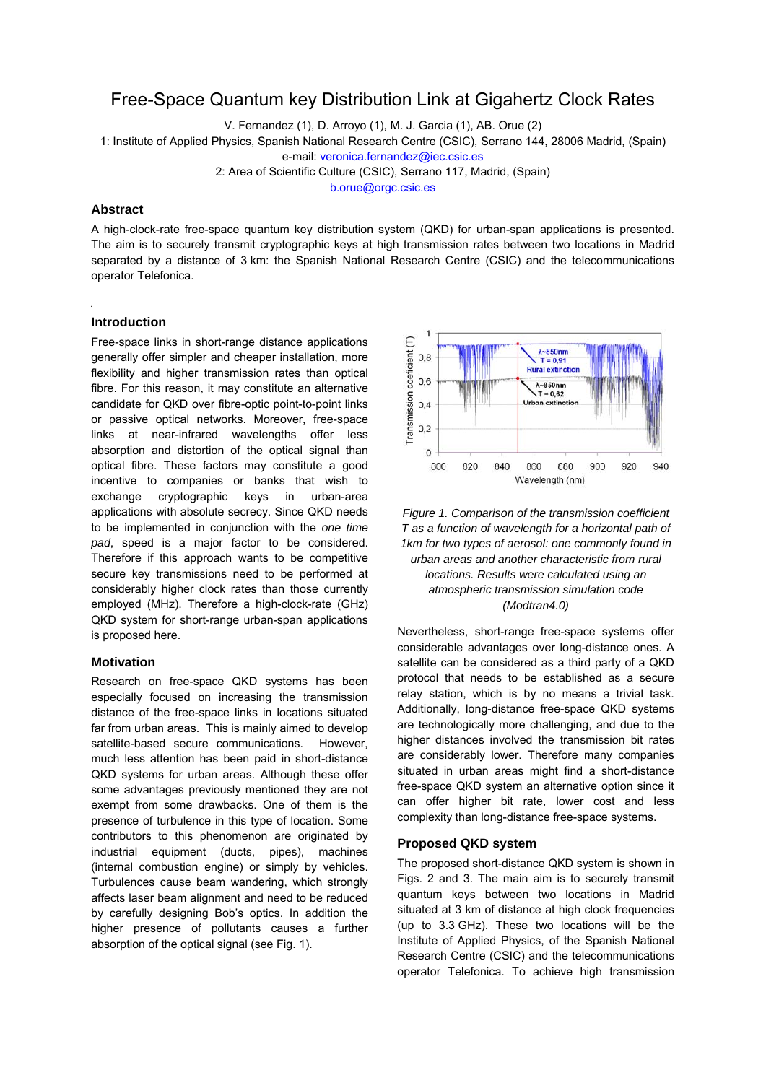# Free-Space Quantum key Distribution Link at Gigahertz Clock Rates

V. Fernandez (1), D. Arroyo (1), M. J. Garcia (1), AB. Orue (2)

1: Institute of Applied Physics, Spanish National Research Centre (CSIC), Serrano 144, 28006 Madrid, (Spain)

e-mail: [veronica.fernandez@iec.csic.es](mailto:veronica.fernandez@iec.csic.es)

2: Area of Scientific Culture (CSIC), Serrano 117, Madrid, (Spain)

[b.orue@orgc.csic.es](mailto:b.orue@orgc.csic.es)

# **Abstract**

A high-clock-rate free-space quantum key distribution system (QKD) for urban-span applications is presented. The aim is to securely transmit cryptographic keys at high transmission rates between two locations in Madrid separated by a distance of 3 km: the Spanish National Research Centre (CSIC) and the telecommunications operator Telefonica.

# **Introduction**

Free-space links in short-range distance applications generally offer simpler and cheaper installation, more flexibility and higher transmission rates than optical fibre. For this reason, it may constitute an alternative candidate for QKD over fibre-optic point-to-point links or passive optical networks. Moreover, free-space links at near-infrared wavelengths offer less absorption and distortion of the optical signal than optical fibre. These factors may constitute a good incentive to companies or banks that wish to exchange cryptographic keys in urban-area applications with absolute secrecy. Since QKD needs to be implemented in conjunction with the *one time pad*, speed is a major factor to be considered. Therefore if this approach wants to be competitive secure key transmissions need to be performed at considerably higher clock rates than those currently employed (MHz). Therefore a high-clock-rate (GHz) QKD system for short-range urban-span applications is proposed here.

# **Motivation**

Research on free-space QKD systems has been especially focused on increasing the transmission distance of the free-space links in locations situated far from urban areas. This is mainly aimed to develop satellite-based secure communications. However, much less attention has been paid in short-distance QKD systems for urban areas. Although these offer some advantages previously mentioned they are not exempt from some drawbacks. One of them is the presence of turbulence in this type of location. Some contributors to this phenomenon are originated by industrial equipment (ducts, pipes), machines (internal combustion engine) or simply by vehicles. Turbulences cause beam wandering, which strongly affects laser beam alignment and need to be reduced by carefully designing Bob's optics. In addition the higher presence of pollutants causes a further absorption of the optical signal (see Fig. 1).



*Figure 1. Comparison of the transmission coefficient T as a function of wavelength for a horizontal path of 1km for two types of aerosol: one commonly found in urban areas and another characteristic from rural locations. Results were calculated using an atmospheric transmission simulation code (Modtran4.0)* 

Nevertheless, short-range free-space systems offer considerable advantages over long-distance ones. A satellite can be considered as a third party of a QKD protocol that needs to be established as a secure relay station, which is by no means a trivial task. Additionally, long-distance free-space QKD systems are technologically more challenging, and due to the higher distances involved the transmission bit rates are considerably lower. Therefore many companies situated in urban areas might find a short-distance free-space QKD system an alternative option since it can offer higher bit rate, lower cost and less complexity than long-distance free-space systems.

## **Proposed QKD system**

The proposed short-distance QKD system is shown in Figs. 2 and 3. The main aim is to securely transmit quantum keys between two locations in Madrid situated at 3 km of distance at high clock frequencies (up to 3.3 GHz). These two locations will be the Institute of Applied Physics, of the Spanish National Research Centre (CSIC) and the telecommunications operator Telefonica. To achieve high transmission